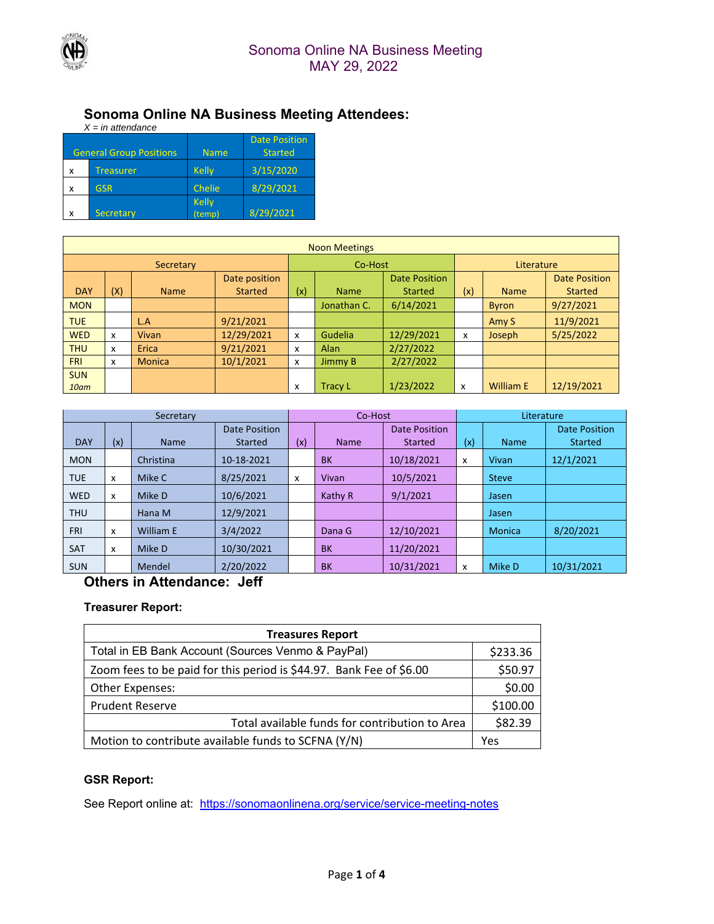

#### **Sonoma Online NA Business Meeting Attendees:**

| $X = in$ attendance |                                |                             |                                        |  |  |  |  |
|---------------------|--------------------------------|-----------------------------|----------------------------------------|--|--|--|--|
|                     | <b>General Group Positions</b> | <b>Name</b>                 | <b>Date Position</b><br><b>Started</b> |  |  |  |  |
| x                   | <b>Treasurer</b>               | <b>Kelly</b>                | 3/15/2020                              |  |  |  |  |
| X                   | <b>GSR</b>                     | Chelie                      | 8/29/2021                              |  |  |  |  |
| x                   | <b>Secretary</b>               | <b>Kelly</b><br>.<br>(temp) | 8/29/2021                              |  |  |  |  |

| <b>Noon Meetings</b> |     |               |                |     |                |                |              |                  |                |
|----------------------|-----|---------------|----------------|-----|----------------|----------------|--------------|------------------|----------------|
| Secretary            |     |               | Co-Host        |     |                | Literature     |              |                  |                |
|                      |     |               | Date position  |     |                | Date Position  |              |                  | Date Position  |
| <b>DAY</b>           | (X) | <b>Name</b>   | <b>Started</b> | (x) | <b>Name</b>    | <b>Started</b> | (x)          | <b>Name</b>      | <b>Started</b> |
| <b>MON</b>           |     |               |                |     | Jonathan C.    | 6/14/2021      |              | <b>Byron</b>     | 9/27/2021      |
| <b>TUE</b>           |     | L.A           | 9/21/2021      |     |                |                |              | Amy S            | 11/9/2021      |
| <b>WED</b>           | x   | Vivan         | 12/29/2021     | x   | Gudelia        | 12/29/2021     | $\mathsf{x}$ | <b>Joseph</b>    | 5/25/2022      |
| <b>THU</b>           | x   | Erica         | 9/21/2021      | X   | <b>Alan</b>    | 2/27/2022      |              |                  |                |
| <b>FRI</b>           | x   | <b>Monica</b> | 10/1/2021      | X   | Jimmy B        | 2/27/2022      |              |                  |                |
| <b>SUN</b>           |     |               |                |     |                |                |              |                  |                |
| 10am                 |     |               |                | X   | <b>Tracy L</b> | 1/23/2022      | x            | <b>William E</b> | 12/19/2021     |

| Secretary  |     |             | Co-Host              |     |             | Literature           |     |               |                      |
|------------|-----|-------------|----------------------|-----|-------------|----------------------|-----|---------------|----------------------|
|            |     |             | <b>Date Position</b> |     |             | <b>Date Position</b> |     |               | <b>Date Position</b> |
| <b>DAY</b> | (x) | <b>Name</b> | <b>Started</b>       | (x) | <b>Name</b> | <b>Started</b>       | (x) | <b>Name</b>   | <b>Started</b>       |
| <b>MON</b> |     | Christina   | 10-18-2021           |     | <b>BK</b>   | 10/18/2021           | x   | Vivan         | 12/1/2021            |
| <b>TUE</b> | x   | Mike C      | 8/25/2021            | x   | Vivan       | 10/5/2021            |     | <b>Steve</b>  |                      |
| <b>WED</b> | X   | Mike D      | 10/6/2021            |     | Kathy R     | 9/1/2021             |     | Jasen         |                      |
| <b>THU</b> |     | Hana M      | 12/9/2021            |     |             |                      |     | Jasen         |                      |
| <b>FRI</b> | X   | William E   | 3/4/2022             |     | Dana G      | 12/10/2021           |     | <b>Monica</b> | 8/20/2021            |
| <b>SAT</b> | X   | Mike D      | 10/30/2021           |     | <b>BK</b>   | 11/20/2021           |     |               |                      |
| <b>SUN</b> |     | Mendel      | 2/20/2022            |     | <b>BK</b>   | 10/31/2021           | x   | Mike D        | 10/31/2021           |

## **Others in Attendance: Jeff**

#### **Treasurer Report:**

| <b>Treasures Report</b>                                             |         |  |  |  |  |
|---------------------------------------------------------------------|---------|--|--|--|--|
| Total in EB Bank Account (Sources Venmo & PayPal)                   |         |  |  |  |  |
| Zoom fees to be paid for this period is \$44.97. Bank Fee of \$6.00 |         |  |  |  |  |
| Other Expenses:                                                     |         |  |  |  |  |
| <b>Prudent Reserve</b>                                              |         |  |  |  |  |
| Total available funds for contribution to Area                      | \$82.39 |  |  |  |  |
| Motion to contribute available funds to SCFNA (Y/N)                 | Yes     |  |  |  |  |

#### **GSR Report:**

See Report online at: https://sonomaonlinena.org/service/service-meeting-notes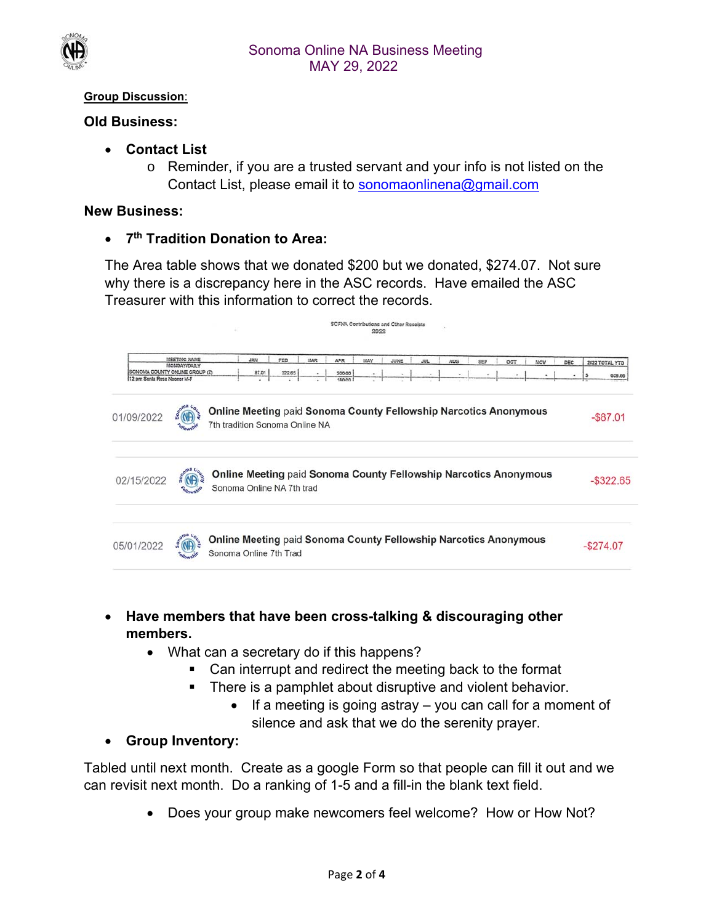

#### **Group Discussion**:

#### **Old Business:**

- **Contact List** 
	- o Reminder, if you are a trusted servant and your info is not listed on the Contact List, please email it to sonomaonlinena@gmail.com

#### **New Business:**

**7th Tradition Donation to Area:** 

The Area table shows that we donated \$200 but we donated, \$274.07. Not sure why there is a discrepancy here in the ASC records. Have emailed the ASC Treasurer with this information to correct the records.



- **Have members that have been cross-talking & discouraging other members.** 
	- What can a secretary do if this happens?
		- Can interrupt and redirect the meeting back to the format
		- There is a pamphlet about disruptive and violent behavior.
			- $\bullet$  If a meeting is going astray  $-$  you can call for a moment of silence and ask that we do the serenity prayer.

## **Group Inventory:**

Tabled until next month. Create as a google Form so that people can fill it out and we can revisit next month. Do a ranking of 1-5 and a fill-in the blank text field.

• Does your group make newcomers feel welcome? How or How Not?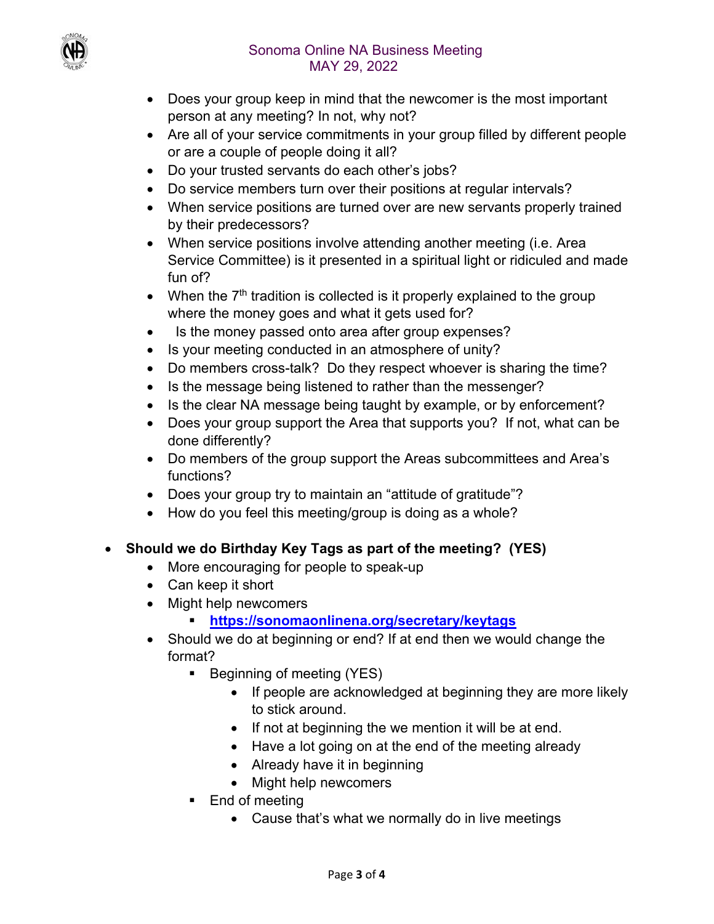

- Does your group keep in mind that the newcomer is the most important person at any meeting? In not, why not?
- Are all of your service commitments in your group filled by different people or are a couple of people doing it all?
- Do your trusted servants do each other's jobs?
- Do service members turn over their positions at regular intervals?
- When service positions are turned over are new servants properly trained by their predecessors?
- When service positions involve attending another meeting (i.e. Area Service Committee) is it presented in a spiritual light or ridiculed and made fun of?
- When the  $7<sup>th</sup>$  tradition is collected is it properly explained to the group where the money goes and what it gets used for?
- Is the money passed onto area after group expenses?
- Is your meeting conducted in an atmosphere of unity?
- Do members cross-talk? Do they respect whoever is sharing the time?
- Is the message being listened to rather than the messenger?
- Is the clear NA message being taught by example, or by enforcement?
- Does your group support the Area that supports you? If not, what can be done differently?
- Do members of the group support the Areas subcommittees and Area's functions?
- Does your group try to maintain an "attitude of gratitude"?
- How do you feel this meeting/group is doing as a whole?

# **Should we do Birthday Key Tags as part of the meeting? (YES)**

- More encouraging for people to speak-up
- Can keep it short
- Might help newcomers
	- **https://sonomaonlinena.org/secretary/keytags**
- Should we do at beginning or end? If at end then we would change the format?
	- Beginning of meeting (YES)
		- If people are acknowledged at beginning they are more likely to stick around.
		- If not at beginning the we mention it will be at end.
		- Have a lot going on at the end of the meeting already
		- Already have it in beginning
		- Might help newcomers
	- End of meeting
		- Cause that's what we normally do in live meetings